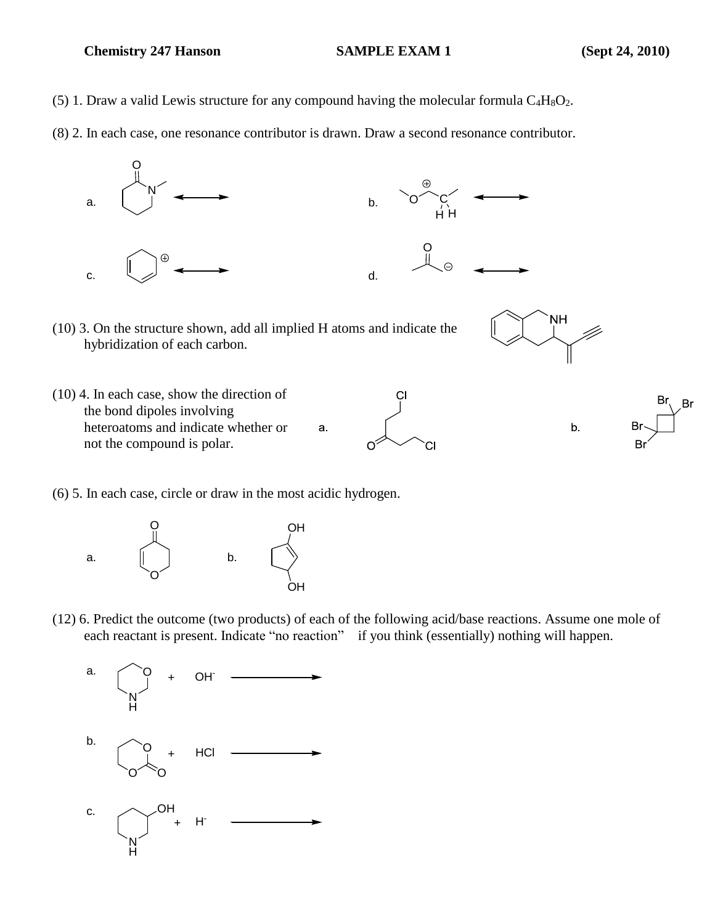## **Chemistry 247 Hanson SAMPLE EXAM 1** (Sept 24, 2010)

- (5) 1. Draw a valid Lewis structure for any compound having the molecular formula  $C_4H_8O_2$ .
- (8) 2. In each case, one resonance contributor is drawn. Draw a second resonance contributor.



(6) 5. In each case, circle or draw in the most acidic hydrogen.



(12) 6. Predict the outcome (two products) of each of the following acid/base reactions. Assume one mole of each reactant is present. Indicate "no reaction" if you think (essentially) nothing will happen.